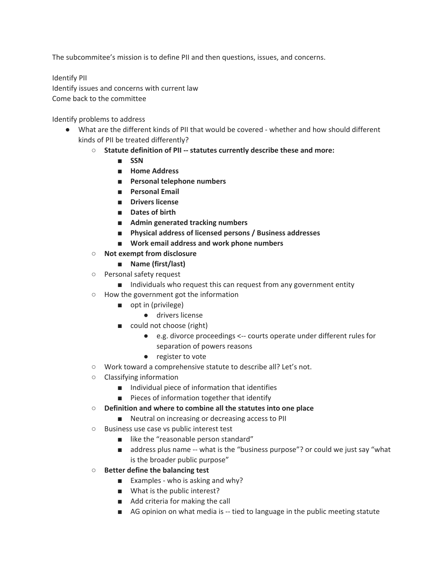The subcommitee's mission is to define PII and then questions, issues, and concerns.

Identify PII Identify issues and concerns with current law Come back to the committee

Identify problems to address

- What are the different kinds of PII that would be covered whether and how should different kinds of PII be treated differently?
	- **○ Statute definition of PII -- statutes currently describe these and more:**
		- **■ SSN**
		- **■ Home Address**
		- **■ Personal telephone numbers**
		- **■ Personal Email**
		- **■ Drivers license**
		- **■ Dates of birth**
		- **■ Admin generated tracking numbers**
		- **■ Physical address of licensed persons / Business addresses**
		- **■ Work email address and work phone numbers**
	- **○ Not exempt from disclosure**
		- **■ Name (first/last)**
	- Personal safety request
		- Individuals who request this can request from any government entity
	- How the government got the information
		- opt in (privilege)
			- drivers license
		- could not choose (right)
			- e.g. divorce proceedings <-- courts operate under different rules for separation of powers reasons
			- register to vote
	- Work toward a comprehensive statute to describe all? Let's not.
	- Classifying information
		- Individual piece of information that identifies
		- Pieces of information together that identify
	- **○ Definition and where to combine all the statutes into one place**
		- Neutral on increasing or decreasing access to PII
	- Business use case vs public interest test
		- like the "reasonable person standard"
		- address plus name -- what is the "business purpose"? or could we just say "what is the broader public purpose"
	- **○ Better define the balancing test**
		- Examples who is asking and why?
		- What is the public interest?
		- Add criteria for making the call
		- AG opinion on what media is -- tied to language in the public meeting statute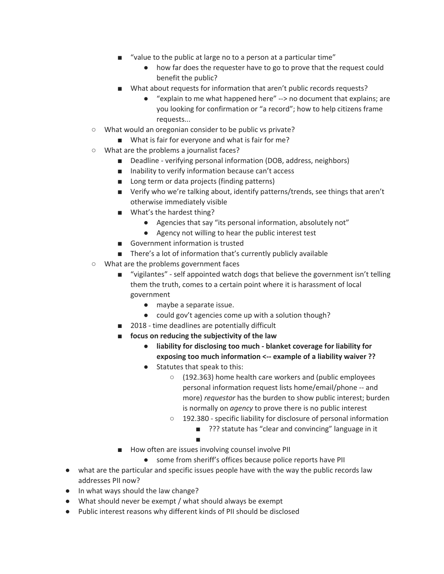- "value to the public at large no to a person at a particular time"
	- how far does the requester have to go to prove that the request could benefit the public?
- What about requests for information that aren't public records requests?
	- "explain to me what happened here" --> no document that explains; are you looking for confirmation or "a record"; how to help citizens frame requests...
- What would an oregonian consider to be public vs private?
	- What is fair for everyone and what is fair for me?
- What are the problems a journalist faces?
	- Deadline verifying personal information (DOB, address, neighbors)
	- Inability to verify information because can't access
	- Long term or data projects (finding patterns)
	- Verify who we're talking about, identify patterns/trends, see things that aren't otherwise immediately visible
	- What's the hardest thing?
		- Agencies that say "its personal information, absolutely not"
		- Agency not willing to hear the public interest test
	- Government information is trusted
	- There's a lot of information that's currently publicly available
- What are the problems government faces
	- "vigilantes" self appointed watch dogs that believe the government isn't telling them the truth, comes to a certain point where it is harassment of local government
		- maybe a separate issue.
		- could gov't agencies come up with a solution though?
	- 2018 time deadlines are potentially difficult
	- **■ focus on reducing the subjectivity of the law**
		- **● liability for disclosing too much - blanket coverage for liability for exposing too much information <-- example of a liability waiver ??**
		- Statutes that speak to this:
			- (192.363) home health care workers and (public employees personal information request lists home/email/phone -- and more) *requestor* has the burden to show public interest; burden is normally on *agency* to prove there is no public interest
			- 192.380 specific liability for disclosure of personal information
				- ??? statute has "clear and convincing" language in it
					-
	- How often are issues involving counsel involve PII

■

- some from sheriff's offices because police reports have PII
- what are the particular and specific issues people have with the way the public records law addresses PII now?
- In what ways should the law change?
- What should never be exempt / what should always be exempt
- Public interest reasons why different kinds of PII should be disclosed